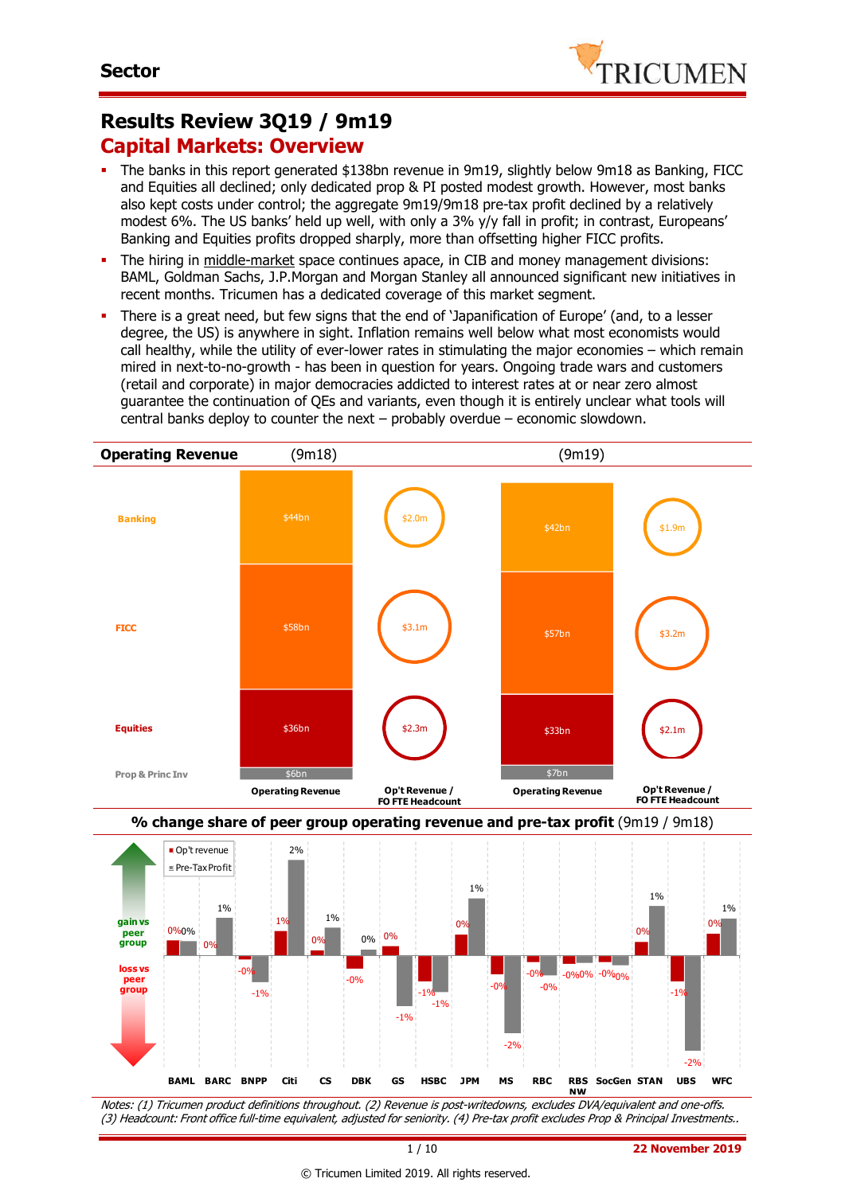

## **Results Review 3Q19 / 9m19 Capital Markets: Overview**

- The banks in this report generated \$138bn revenue in 9m19, slightly below 9m18 as Banking, FICC and Equities all declined; only dedicated prop & PI posted modest growth. However, most banks also kept costs under control; the aggregate 9m19/9m18 pre-tax profit declined by a relatively modest 6%. The US banks' held up well, with only a 3% y/y fall in profit; in contrast, Europeans' Banking and Equities profits dropped sharply, more than offsetting higher FICC profits.
- The hiring in middle-market space continues apace, in CIB and money management divisions: BAML, Goldman Sachs, J.P.Morgan and Morgan Stanley all announced significant new initiatives in recent months. Tricumen has a dedicated coverage of this market segment.
- There is a great need, but few signs that the end of 'Japanification of Europe' (and, to a lesser degree, the US) is anywhere in sight. Inflation remains well below what most economists would call healthy, while the utility of ever-lower rates in stimulating the major economies – which remain mired in next-to-no-growth - has been in question for years. Ongoing trade wars and customers (retail and corporate) in major democracies addicted to interest rates at or near zero almost guarantee the continuation of QEs and variants, even though it is entirely unclear what tools will central banks deploy to counter the next – probably overdue – economic slowdown.



Notes: (1) Tricumen product definitions throughout. (2) Revenue is post-writedowns, excludes DVA/equivalent and one-offs. (3) Headcount: Front office full-time equivalent, adjusted for seniority. (4) Pre-tax profit excludes Prop & Principal Investments..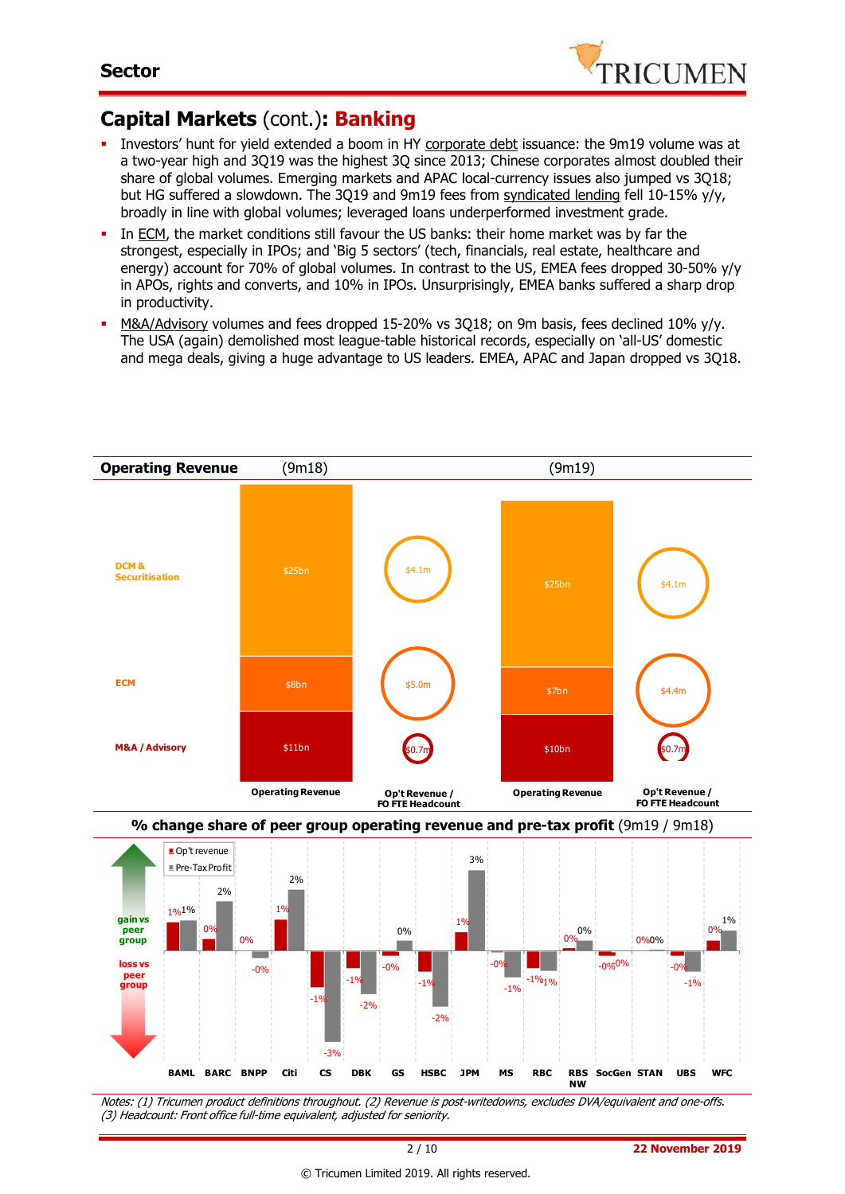

### **Capital Markets** (cont.)**: Banking**

- Investors' hunt for yield extended a boom in HY corporate debt issuance: the 9m19 volume was at a two-year high and 3Q19 was the highest 3Q since 2013; Chinese corporates almost doubled their share of global volumes. Emerging markets and APAC local-currency issues also jumped vs 3Q18; but HG suffered a slowdown. The 3Q19 and 9m19 fees from syndicated lending fell 10-15% y/y, broadly in line with global volumes; leveraged loans underperformed investment grade.
- In ECM, the market conditions still favour the US banks: their home market was by far the strongest, especially in IPOs; and 'Big 5 sectors' (tech, financials, real estate, healthcare and energy) account for 70% of global volumes. In contrast to the US, EMEA fees dropped 30-50% y/y in APOs, rights and converts, and 10% in IPOs. Unsurprisingly, EMEA banks suffered a sharp drop in productivity.
- M&A/Advisory volumes and fees dropped 15-20% vs 3Q18; on 9m basis, fees declined 10% y/y. The USA (again) demolished most league-table historical records, especially on 'all-US' domestic and mega deals, giving a huge advantage to US leaders. EMEA, APAC and Japan dropped vs 3Q18.



(3) Headcount: Front office full-time equivalent, adjusted for seniority.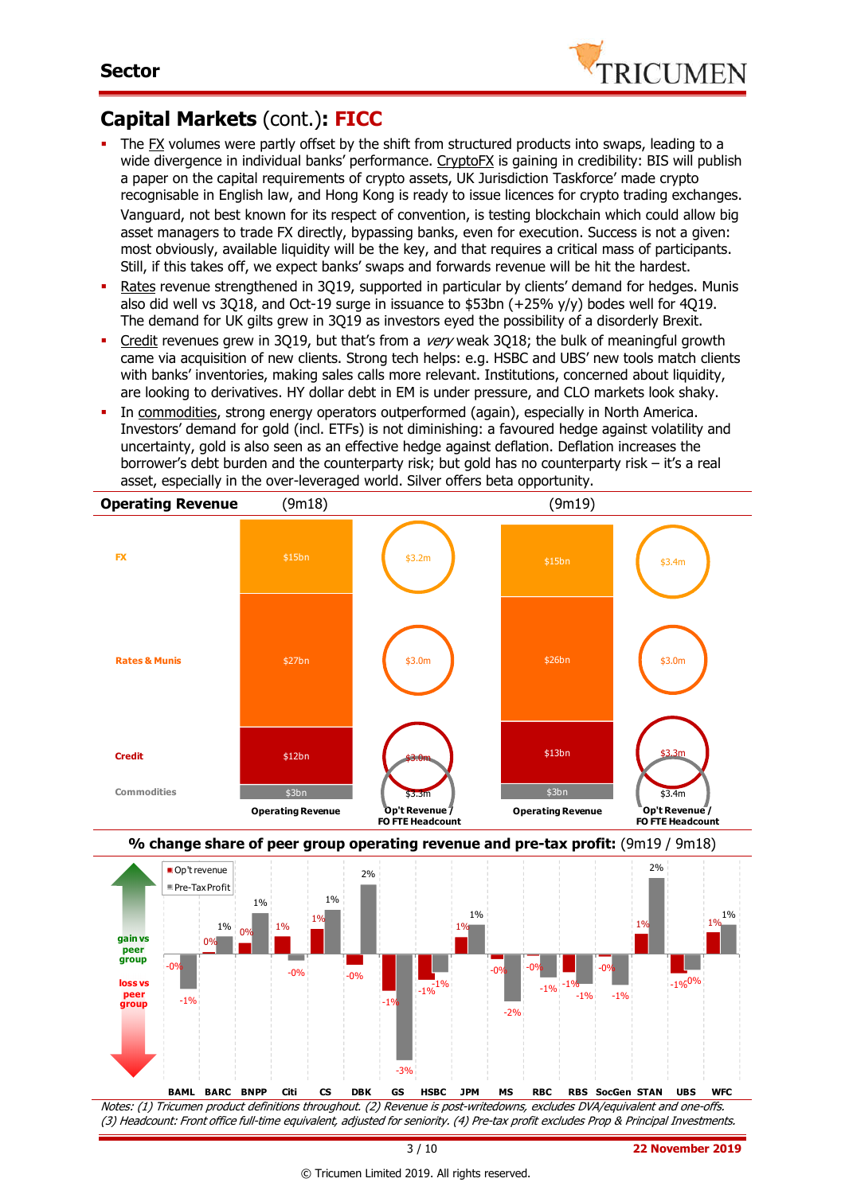

## **Capital Markets** (cont.)**: FICC**

- The FX volumes were partly offset by the shift from structured products into swaps, leading to a wide divergence in individual banks' performance. CryptoFX is gaining in credibility: BIS will publish a paper on the capital requirements of crypto assets, UK Jurisdiction Taskforce' made crypto recognisable in English law, and Hong Kong is ready to issue licences for crypto trading exchanges. Vanguard, not best known for its respect of convention, is testing blockchain which could allow big asset managers to trade FX directly, bypassing banks, even for execution. Success is not a given: most obviously, available liquidity will be the key, and that requires a critical mass of participants. Still, if this takes off, we expect banks' swaps and forwards revenue will be hit the hardest.
- Rates revenue strengthened in 3Q19, supported in particular by clients' demand for hedges. Munis also did well vs 3Q18, and Oct-19 surge in issuance to \$53bn (+25% y/y) bodes well for 4Q19. The demand for UK gilts grew in 3Q19 as investors eyed the possibility of a disorderly Brexit.
- Credit revenues grew in 3019, but that's from a very weak 3018; the bulk of meaningful growth came via acquisition of new clients. Strong tech helps: e.g. HSBC and UBS' new tools match clients with banks' inventories, making sales calls more relevant. Institutions, concerned about liquidity, are looking to derivatives. HY dollar debt in EM is under pressure, and CLO markets look shaky.
- In commodities, strong energy operators outperformed (again), especially in North America. Investors' demand for gold (incl. ETFs) is not diminishing: a favoured hedge against volatility and uncertainty, gold is also seen as an effective hedge against deflation. Deflation increases the borrower's debt burden and the counterparty risk; but gold has no counterparty risk – it's a real asset, especially in the over-leveraged world. Silver offers beta opportunity.







(3) Headcount: Front office full-time equivalent, adjusted for seniority. (4) Pre-tax profit excludes Prop & Principal Investments.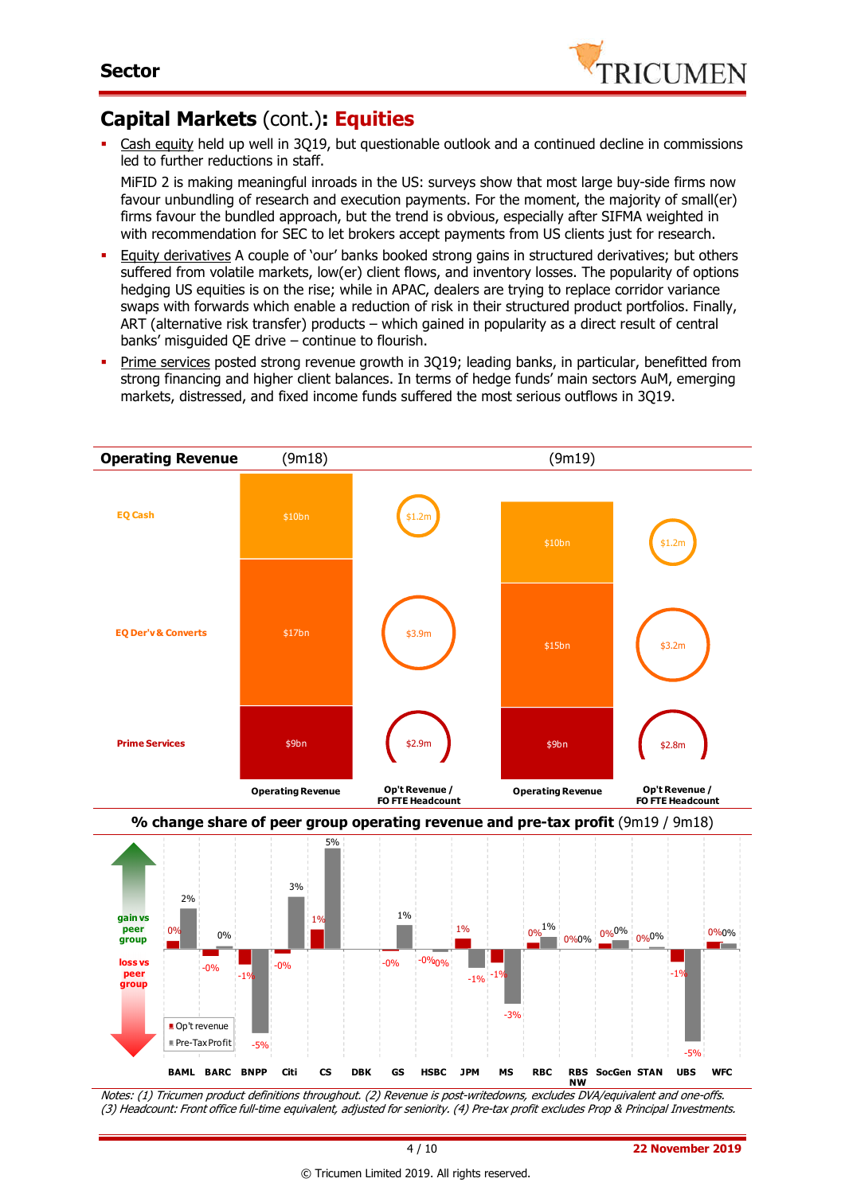

## **Capital Markets** (cont.)**: Equities**

 Cash equity held up well in 3Q19, but questionable outlook and a continued decline in commissions led to further reductions in staff.

MiFID 2 is making meaningful inroads in the US: surveys show that most large buy-side firms now favour unbundling of research and execution payments. For the moment, the majority of small(er) firms favour the bundled approach, but the trend is obvious, especially after SIFMA weighted in with recommendation for SEC to let brokers accept payments from US clients just for research.

- Equity derivatives A couple of 'our' banks booked strong gains in structured derivatives; but others suffered from volatile markets, low(er) client flows, and inventory losses. The popularity of options hedging US equities is on the rise; while in APAC, dealers are trying to replace corridor variance swaps with forwards which enable a reduction of risk in their structured product portfolios. Finally, ART (alternative risk transfer) products – which gained in popularity as a direct result of central banks' misguided QE drive – continue to flourish.
- Prime services posted strong revenue growth in 3Q19; leading banks, in particular, benefitted from strong financing and higher client balances. In terms of hedge funds' main sectors AuM, emerging markets, distressed, and fixed income funds suffered the most serious outflows in 3Q19.



Notes: (1) Tricumen product definitions throughout. (2) Revenue is post-writedowns, excludes DVA/equivalent and one-offs. (3) Headcount: Front office full-time equivalent, adjusted for seniority. (4) Pre-tax profit excludes Prop & Principal Investments.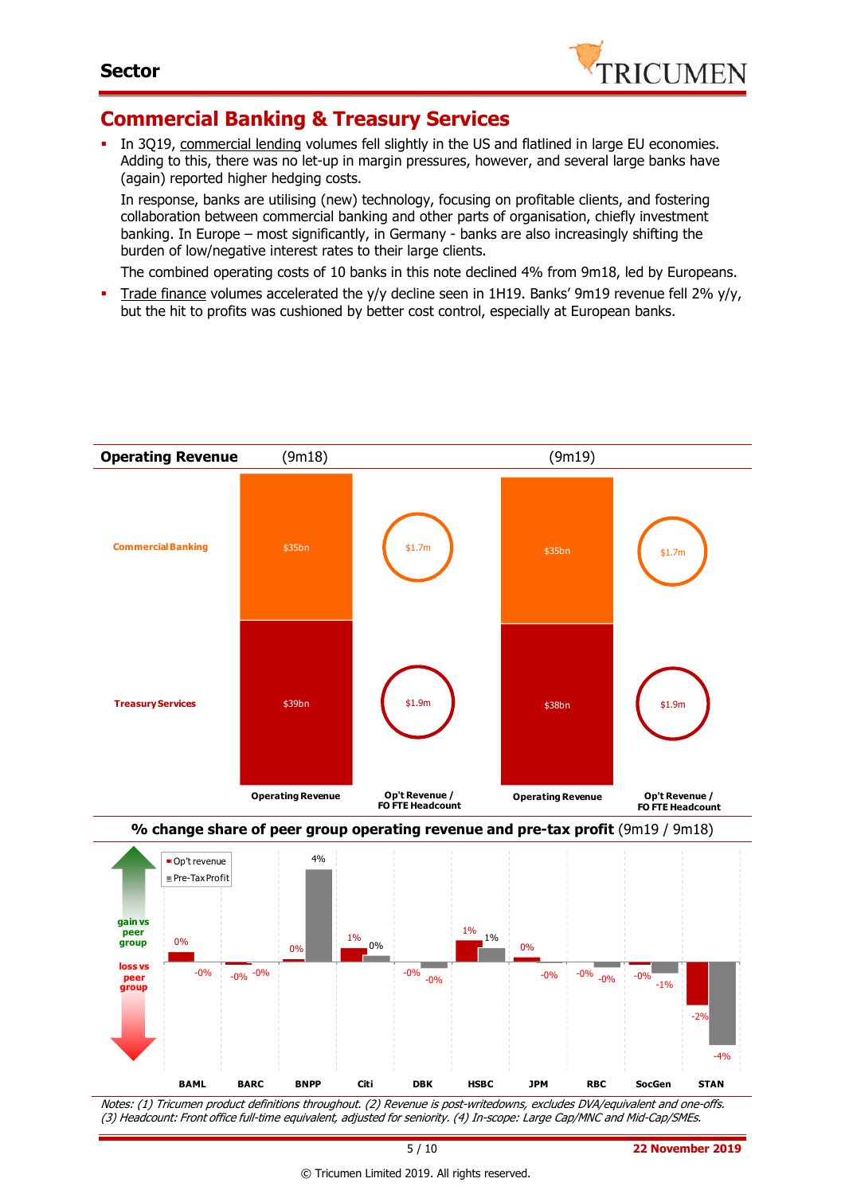

### **Commercial Banking & Treasury Services**

 In 3Q19, commercial lending volumes fell slightly in the US and flatlined in large EU economies. Adding to this, there was no let-up in margin pressures, however, and several large banks have (again) reported higher hedging costs.

In response, banks are utilising (new) technology, focusing on profitable clients, and fostering collaboration between commercial banking and other parts of organisation, chiefly investment banking. In Europe – most significantly, in Germany - banks are also increasingly shifting the burden of low/negative interest rates to their large clients.

The combined operating costs of 10 banks in this note declined 4% from 9m18, led by Europeans.

Trade finance volumes accelerated the y/y decline seen in 1H19. Banks' 9m19 revenue fell 2% y/y, but the hit to profits was cushioned by better cost control, especially at European banks.



Notes: (1) Tricumen product definitions throughout. (2) Revenue is post-writedowns, excludes DVA/equivalent and one-offs. (3) Headcount: Front office full-time equivalent, adjusted for seniority. (4) In-scope: Large Cap/MNC and Mid-Cap/SMEs.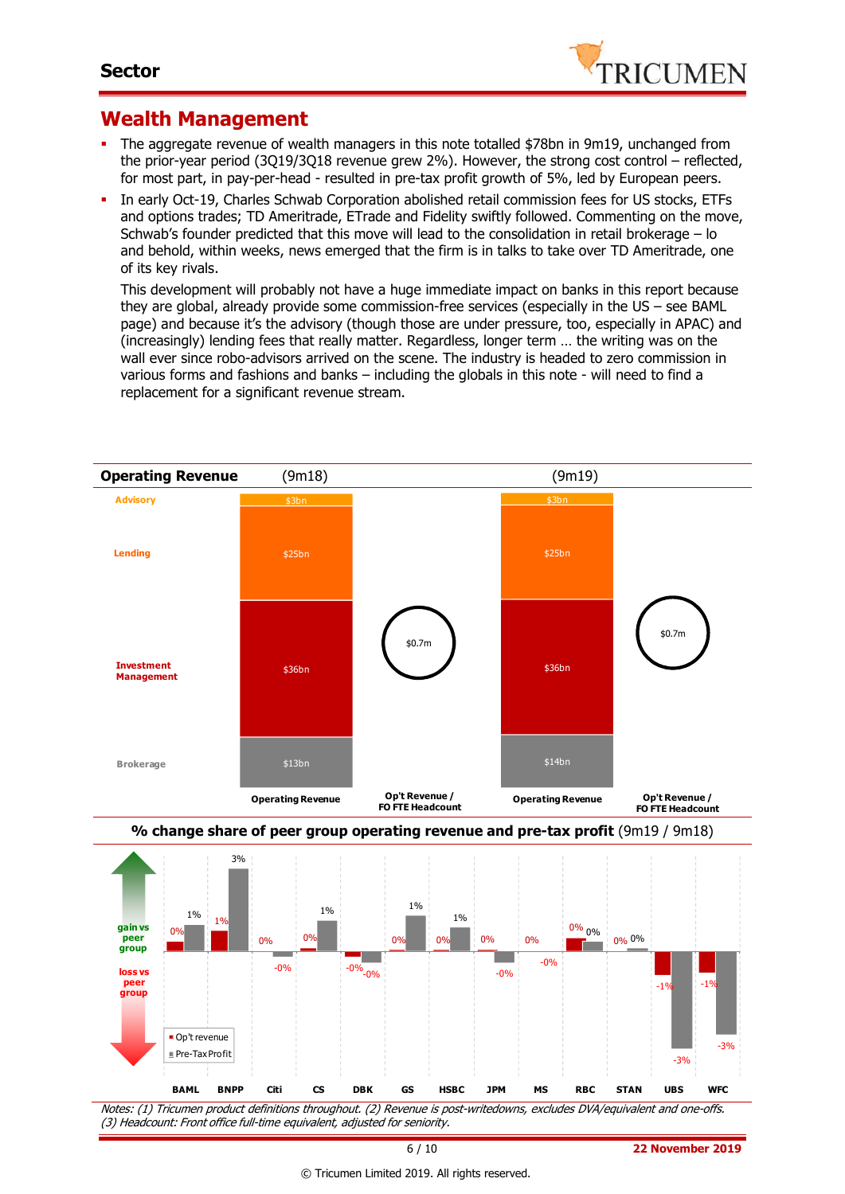

### **Wealth Management**

- The aggregate revenue of wealth managers in this note totalled \$78bn in 9m19, unchanged from the prior-year period (3Q19/3Q18 revenue grew 2%). However, the strong cost control – reflected, for most part, in pay-per-head - resulted in pre-tax profit growth of 5%, led by European peers.
- In early Oct-19, Charles Schwab Corporation abolished retail commission fees for US stocks, ETFs and options trades; TD Ameritrade, ETrade and Fidelity swiftly followed. Commenting on the move, Schwab's founder predicted that this move will lead to the consolidation in retail brokerage – lo and behold, within weeks, news emerged that the firm is in talks to take over TD Ameritrade, one of its key rivals.

This development will probably not have a huge immediate impact on banks in this report because they are global, already provide some commission-free services (especially in the US – see BAML page) and because it's the advisory (though those are under pressure, too, especially in APAC) and (increasingly) lending fees that really matter. Regardless, longer term … the writing was on the wall ever since robo-advisors arrived on the scene. The industry is headed to zero commission in various forms and fashions and banks – including the globals in this note - will need to find a replacement for a significant revenue stream.





Notes: (1) Tricumen product definitions throughout. (2) Revenue is post-writedowns, excludes DVA/equivalent and one-offs. (3) Headcount: Front office full-time equivalent, adjusted for seniority.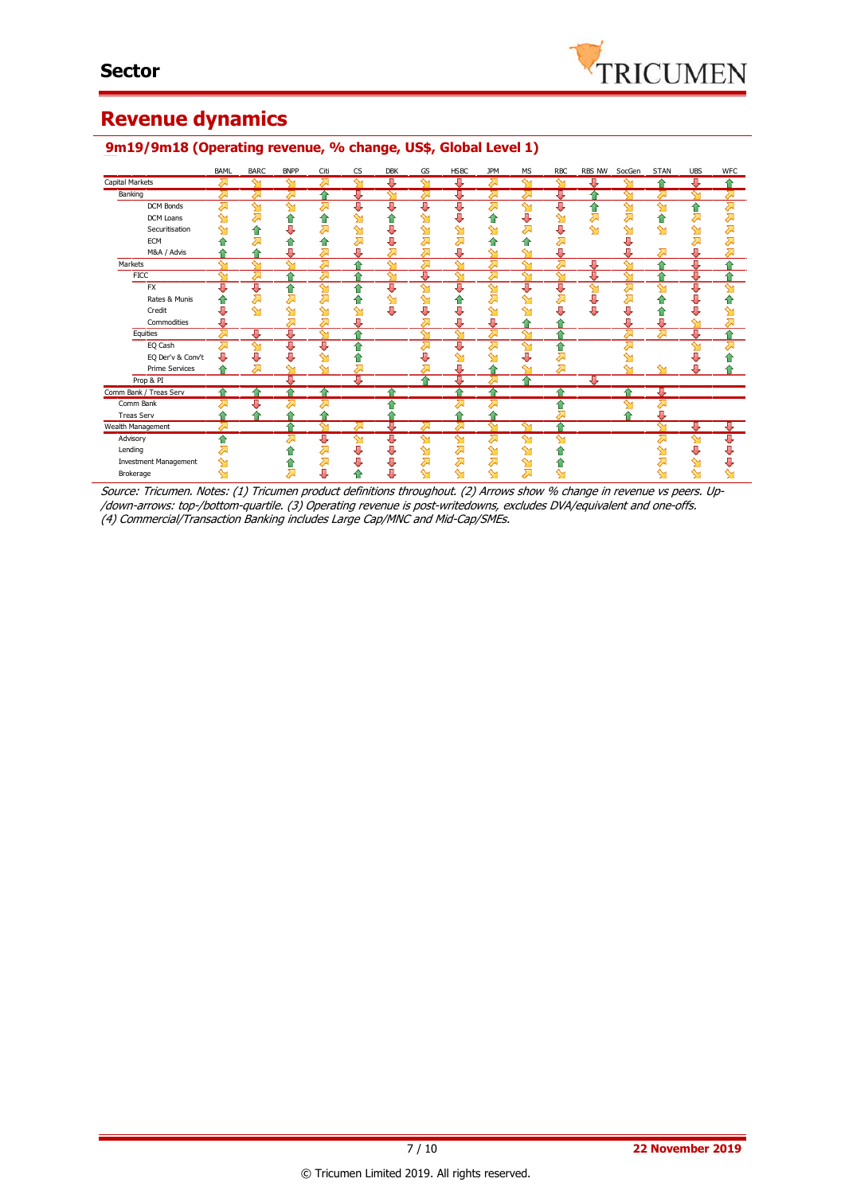### **Revenue dynamics**

|                              | BAML      | <b>BARC</b>             | <b>BNPP</b> | Citi               | <b>CS</b> | <b>DBK</b> | GS             | <b>HSBC</b>  | <b>JPM</b>   | <b>MS</b>          | <b>RBC</b>   | <b>RBS NW</b> | SocGen | <b>STAN</b>  | <b>UBS</b>   | <b>WFC</b> |
|------------------------------|-----------|-------------------------|-------------|--------------------|-----------|------------|----------------|--------------|--------------|--------------------|--------------|---------------|--------|--------------|--------------|------------|
| Capital Markets              | $\lambda$ | ∾                       | ⇘           | 运                  | ∾         | J          | $\mathbf \sim$ | ₩            | 对            | $\sim$             | $\sim$       | щ             |        | $\triangle$  | ₩            | ▵          |
| Banking                      | ↗         | ℴ                       | ℴ           | ♠                  | 專         | ∾          | ⋝              | J            | ⋝            |                    | 專            |               |        |              | ∾            | ∞          |
| <b>DCM Bonds</b>             | ⊼         | ∾                       | ∾           | ⋝                  | Д         | J,         | J              | J            | 对            | ∾                  | Д            |               | $\sim$ | ∾            | ⋒            | ⋝          |
| DCM Loans                    |           | 겨                       | ⇑           | ⋒                  | ഷ         |            | ↬              |              | ⋒            | U                  |              | ↗             | ⇗      | ♠            | Σ            | 겨          |
| Securitisation               |           | ⇑                       | U           | ⋝                  | ഷ         | U          | ഷ              |              | ∾            |                    | J            | ∾             | ↬      | ∾            | ↬            | 对          |
| <b>ECM</b>                   |           |                         | ⋒           | €                  |           | Π,         |                |              |              |                    |              |               |        |              |              |            |
| M&A / Advis                  |           |                         | Д           | 즤                  | л         |            | ⋝              | л            | $\sim$       | ∾                  | Д            |               |        |              | Л            |            |
| Markets                      | $\sim$    | $\sim$                  | ∾           | Д                  | △         | ∾          | ⋝              | $\sim$       | ⋝            | $\sim$             | ⊼            | Д             | ∾      | ۸            | л            |            |
| <b>FICC</b>                  | $\sim$    | ⋝                       | ≙           | ヘ                  |           | $\sim$     | Д              | ∾            | 对            | ∾                  | ∾            | п             |        |              | J,           |            |
| <b>FX</b>                    | π         | ⇩                       | ⇑           | ഷ                  | ⇑         | U          | ↬              | J            | $\mathbf{M}$ | J                  | J            | ↬             | ⋝      | $\sim$       | J            | ↬          |
| Rates & Munis                |           | 겨                       | ⋝           | 겨                  | m         | ⇘          | ∾              |              | 对            |                    |              |               | ╱      |              |              |            |
| Credit                       |           | $\mathbf{M}$            | ഷ           | Գ                  | ഷ         | J          | U              |              | ഷ            |                    |              |               | J      | 1            |              |            |
| Commodities                  | U         |                         | 对           | ⋝                  | Д         |            | 运              | U            | ⊕            |                    |              |               | J      | J            | ∾            | ⇗          |
| Equities                     | 겨         | ⊕                       | J           | $\mathbf{\hat{y}}$ | 全         |            | ள              | $\mathbf{M}$ | ⋝            | ∼                  |              |               | Σ      | <del>⊼</del> | л            |            |
| EQ Cash                      | ⋝         | $\overline{\mathsf{S}}$ | U           | σ                  | ⇑         |            | ⋝              | π            | 对            | ∾                  | ⇑            |               |        |              | ∾            |            |
| EQ Der'v & Conv't            | J         | ⇩                       | J           | ∾                  | ⋒         |            |                |              | ∾            |                    | ⋝            |               |        |              |              |            |
| <b>Prime Services</b>        | ≙         | ⋝                       | ↬           | ∾                  |           |            |                |              |              |                    | 对            |               |        |              |              |            |
| Prop & PI                    |           |                         | Д           |                    | 專         |            | ↷              | ⇩            |              | ≏                  |              | J             |        |              |              |            |
| Comm Bank / Treas Serv       |           |                         | ≏           | ≙                  |           |            |                |              | 全            |                    | ≏            |               |        | л            |              |            |
| Comm Bank                    |           |                         |             |                    |           |            |                |              | ⋝            |                    |              |               |        |              |              |            |
| <b>Treas Serv</b>            |           |                         |             |                    |           |            |                |              |              |                    | Σ            |               |        |              |              |            |
| Wealth Management            |           |                         |             |                    |           |            | ı              | ራ            | $\sim$       |                    | ↷            |               |        |              |              |            |
| Advisory                     | ♠         |                         | ⋝           | ⇩                  | ഷ         | U          | ∾              | ↬            | 对            | $\mathbf{\hat{y}}$ | ∾            |               |        |              | $\mathbf{M}$ | ∪          |
| Lending                      |           |                         | π           | ↗                  | ⇩         | U          | ഷ              | ⋝            | ஊ            | ∾                  |              |               |        |              | J            | U          |
| <b>Investment Management</b> |           |                         | m           | 찌                  | ⇩         | U          | ⋝              | 对            | ⋝            | ഷ                  |              |               |        |              |              |            |
| Brokerage                    | ↬         |                         | ⋝           | J                  |           | U          | ∾              | ↬            | ∾            | ⋝                  | $\mathbf{M}$ |               |        |              | ↬            |            |

### **9m19/9m18 (Operating revenue, % change, US\$, Global Level 1)**

Source: Tricumen. Notes: (1) Tricumen product definitions throughout. (2) Arrows show % change in revenue vs peers. Up- /down-arrows: top-/bottom-quartile. (3) Operating revenue is post-writedowns, excludes DVA/equivalent and one-offs. (4) Commercial/Transaction Banking includes Large Cap/MNC and Mid-Cap/SMEs.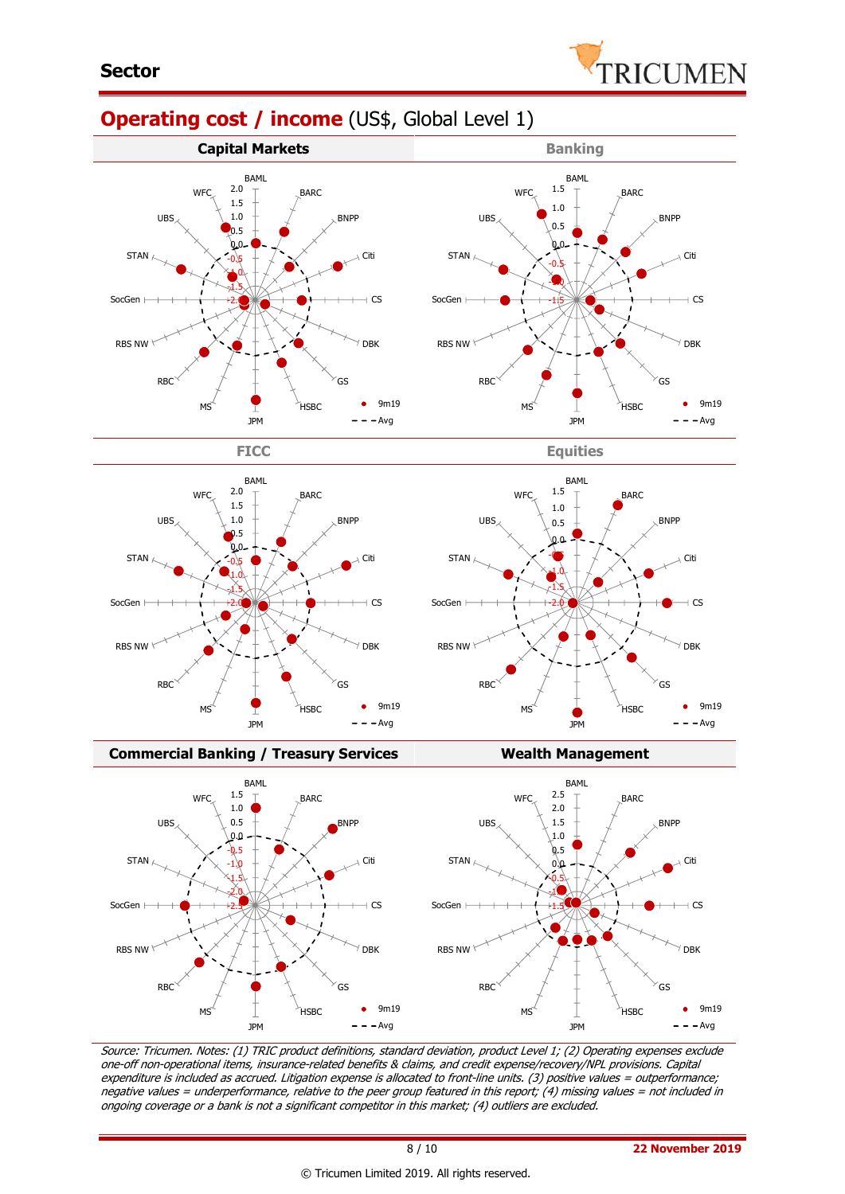

## **Operating cost / income** (US\$, Global Level 1)



 $\overline{c}$ SocGen -2.0 -2.0 RBS NW  $\mathrm{^{\prime}}$  DBK RBS NW RBC GS RBC GS 9m19 **HSBC** MS **HSBC** MS JPM  $=$   $-Avq$ JPM

**Commercial Banking / Treasury Services Wealth Management** BAML BAML 2.5 1.5 **W<sub>FC</sub>** BARC **W<sub>FC</sub>** BARC 1.0 2.0 UBS 0.5 BNPP UBS 1.5 BNPP  $0.\Omega$ 1.0 -0.5  $\&5$ STAN STAN  $\overline{1.0}$ Citi 0.0 Citi -1.5  $-0.5$ -2.0 -1.0 SocGen CS SocGen CS -2.5 -1.5 RBS NW DBK RBS NW  $\sqrt{}$  DBK RBC RBC  $\mathsf{G}\mathsf{S}$  $\sqrt{GS}$  $\bullet$ 9m19  $9m19$ MS **HSBC** MS HSBC JPM  $-$ Avg JPM  $- -$  Avg

Source: Tricumen. Notes: (1) TRIC product definitions, standard deviation, product Level 1; (2) Operating expenses exclude one-off non-operational items, insurance-related benefits & claims, and credit expense/recovery/NPL provisions. Capital expenditure is included as accrued. Litigation expense is allocated to front-line units. (3) positive values = outperformance; negative values = underperformance, relative to the peer group featured in this report; (4) missing values = not included in ongoing coverage or a bank is not a significant competitor in this market; (4) outliers are excluded.

 $\sqrt{}$  DBK

 $9m19$  $- -$ Avg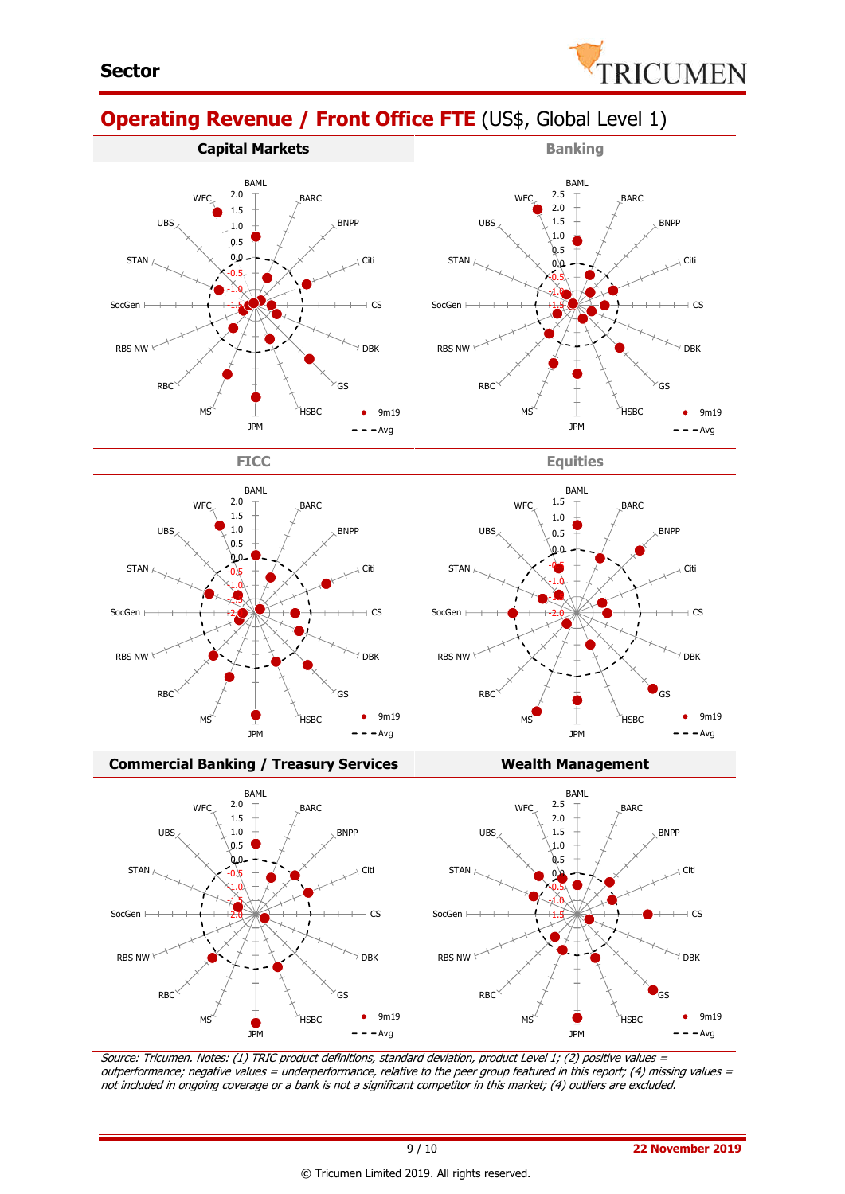

BNPP

Citi

 $+$  CS

DBK

 $\bullet$ 

9m19  $- -$ Avg

GS

# **Operating Revenue / Front Office FTE** (US\$, Global Level 1)











#### **Commercial Banking / Treasury Services Wealth Management**



Source: Tricumen. Notes: (1) TRIC product definitions, standard deviation, product Level 1; (2) positive values <sup>=</sup> outperformance; negative values = underperformance, relative to the peer group featured in this report; (4) missing values = not included in ongoing coverage or a bank is not a significant competitor in this market; (4) outliers are excluded.